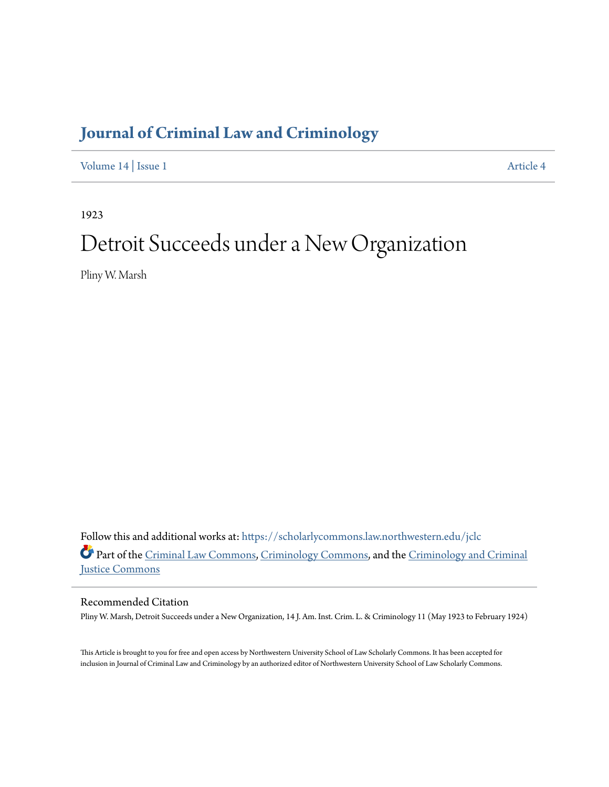# **[Journal of Criminal Law and Criminology](https://scholarlycommons.law.northwestern.edu/jclc?utm_source=scholarlycommons.law.northwestern.edu%2Fjclc%2Fvol14%2Fiss1%2F4&utm_medium=PDF&utm_campaign=PDFCoverPages)**

[Volume 14](https://scholarlycommons.law.northwestern.edu/jclc/vol14?utm_source=scholarlycommons.law.northwestern.edu%2Fjclc%2Fvol14%2Fiss1%2F4&utm_medium=PDF&utm_campaign=PDFCoverPages) | [Issue 1](https://scholarlycommons.law.northwestern.edu/jclc/vol14/iss1?utm_source=scholarlycommons.law.northwestern.edu%2Fjclc%2Fvol14%2Fiss1%2F4&utm_medium=PDF&utm_campaign=PDFCoverPages) [Article 4](https://scholarlycommons.law.northwestern.edu/jclc/vol14/iss1/4?utm_source=scholarlycommons.law.northwestern.edu%2Fjclc%2Fvol14%2Fiss1%2F4&utm_medium=PDF&utm_campaign=PDFCoverPages)

1923

# Detroit Succeeds under a New Organization

Pliny W. Marsh

Follow this and additional works at: [https://scholarlycommons.law.northwestern.edu/jclc](https://scholarlycommons.law.northwestern.edu/jclc?utm_source=scholarlycommons.law.northwestern.edu%2Fjclc%2Fvol14%2Fiss1%2F4&utm_medium=PDF&utm_campaign=PDFCoverPages) Part of the [Criminal Law Commons](http://network.bepress.com/hgg/discipline/912?utm_source=scholarlycommons.law.northwestern.edu%2Fjclc%2Fvol14%2Fiss1%2F4&utm_medium=PDF&utm_campaign=PDFCoverPages), [Criminology Commons](http://network.bepress.com/hgg/discipline/417?utm_source=scholarlycommons.law.northwestern.edu%2Fjclc%2Fvol14%2Fiss1%2F4&utm_medium=PDF&utm_campaign=PDFCoverPages), and the [Criminology and Criminal](http://network.bepress.com/hgg/discipline/367?utm_source=scholarlycommons.law.northwestern.edu%2Fjclc%2Fvol14%2Fiss1%2F4&utm_medium=PDF&utm_campaign=PDFCoverPages) [Justice Commons](http://network.bepress.com/hgg/discipline/367?utm_source=scholarlycommons.law.northwestern.edu%2Fjclc%2Fvol14%2Fiss1%2F4&utm_medium=PDF&utm_campaign=PDFCoverPages)

Recommended Citation

Pliny W. Marsh, Detroit Succeeds under a New Organization, 14 J. Am. Inst. Crim. L. & Criminology 11 (May 1923 to February 1924)

This Article is brought to you for free and open access by Northwestern University School of Law Scholarly Commons. It has been accepted for inclusion in Journal of Criminal Law and Criminology by an authorized editor of Northwestern University School of Law Scholarly Commons.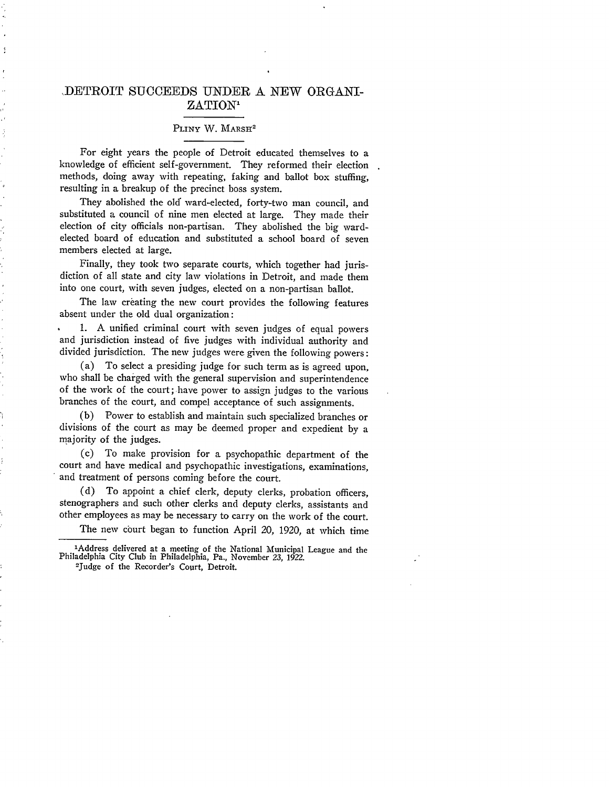# ,DETROIT **SUCCEEDS UNDER A NEW** ORGANI-ZATION'

#### PLINY W. MARSH<sup>2</sup>

For eight years the people of Detroit educated themselves to a knowledge of efficient self-government. They reformed their election methods, doing away with repeating, faking and ballot box stuffing, resulting in a breakup of the precinct boss system.

They abolished the old ward-elected, forty-two man council, and substituted a council of nine men elected at large. They made their election of city officials non-partisan. They abolished the big wardelected board of education and substituted a school board of seven members elected at large.

Finally, they took two separate courts, which together had jurisdiction of all state and city law violations in Detroit, and made them into one court, with seven judges, elected on a non-partisan ballot.

The law creating the new court provides the following features absent under the old dual organization:

1. A unified criminal court with seven judges of equal powers and jurisdiction instead of five judges with individual authority and divided jurisdiction. The new judges were given the following powers:

(a) To select a presiding judge for such term as is agreed upon, who shall be charged with the general supervision and superintendence of the work of the court; have power to assign judges to the various branches of the court, and compel acceptance of such assignments.

(b) Power to establish and maintain such specialized branches or divisions of the court as may be deemed proper and expedient by a majority of the judges.

(c) To make provision for a psychopathic department of the court and have medical and psychopathic investigations, examinations, and treatment of persons coming before the court.

(d) To appoint a chief clerk, deputy clerks, probation officers, stenographers and such other clerks and deputy clerks, assistants and other employees as may be necessary to carry on the work of the court.

The new court began to function April 20, 1920, at which time

<sup>&#</sup>x27;Address delivered at a meeting of the National Municipal League and the Philadelphia City Club in Philadelphia, Pa., November *23,* 1922. 2Judge of the Recorder's Court, Detroit.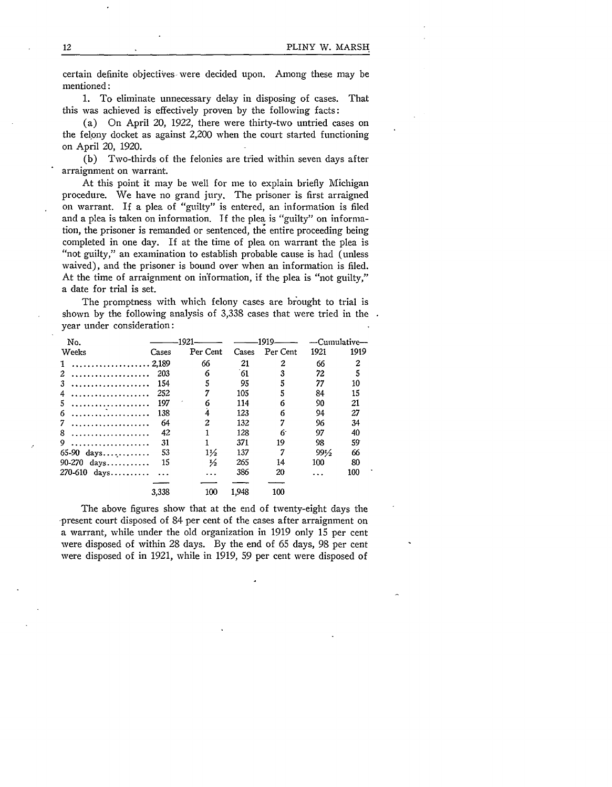certain definite objectives-were decided upon. Among these may be mentioned:

1. To eliminate unnecessary delay in disposing of cases. That this was achieved is effectively proven by the following facts:

(a) On April 20, 1922, there were thirty-two untried cases on the felony docket as against 2,200 when the court started functioning on April 20, 1920.

(b) Two-thirds of the felonies are tried within seven days after arraignment on warrant.

At this point it may be well for me to explain briefly Michigan procedure. We have no grand jury. The prisoner is first arraigned on warrant. If a plea of "guilty" is entered, an information is filed and a plea is taken on information. If the plea is "guilty" on information, the prisoner is remanded or sentenced, the entire proceeding being completed in one day. If at the time of plea on warrant the plea is "not guilty," an examination to establish probable cause is had (unless waived), and the prisoner is bound over when an information is filed. At the time of arraignment on information, if the plea is "not guilty," a date for trial is set.

The promptness with which felony cases are brought to trial is shown by the following analysis of 3,338 cases that were tried in the year under consideration:

| No.                         | .1921–   |                | ————1919— |          | —Cumulative—    |      |
|-----------------------------|----------|----------------|-----------|----------|-----------------|------|
| Weeks                       | Cases    | Per Cent       | Cases     | Per Cent | 1921            | 1919 |
| 1                           |          | 66             | 21        | 2        | 66              | 2    |
| $\overline{2}$              | 203      | 6              | 61        | 3        | 72              | 5    |
| 3<br>.                      | 154      | 5              | 95        | 5        | 77              | 10   |
| 4<br>.                      | 252      |                | 105       | 5        | 84              | 15   |
| 5<br>.                      | 197      | 6              | 114       | 6        | 90              | 21   |
| 6<br>.                      | 138      |                | 123       | 6        | 94              | 27   |
| 7<br>.                      | 64       | 2              | 132       | 7        | 96              | 34   |
| 8<br>.                      | 42       |                | 128       | 61       | 97              | 40   |
| 9.<br>.                     | 31       |                | 371       | 19       | 98              | 59   |
| $65-90$ days                | -53      | $1\frac{1}{2}$ | 137       | 7        | $99\frac{1}{2}$ | 66   |
| 90-270 days                 | 15       | ½              | 265       | 14       | 100             | 80   |
| 270-610<br>$\frac{days}{3}$ | $\ddots$ |                | 386       | 20       |                 | 100  |
|                             |          |                |           |          |                 |      |
|                             | 3,338    | 100            | 1.948     | 100      |                 |      |

The above figures show that at the end of twenty-eight days the -present court disposed of 84 per cent of the cases after arraignment on a warrant, while under the old organization in 1919 only 15 per cent were disposed of within 28 days. By the end of 65 days, 98 per cent were disposed of in 1921, while in 1919, 59 per cent were disposed of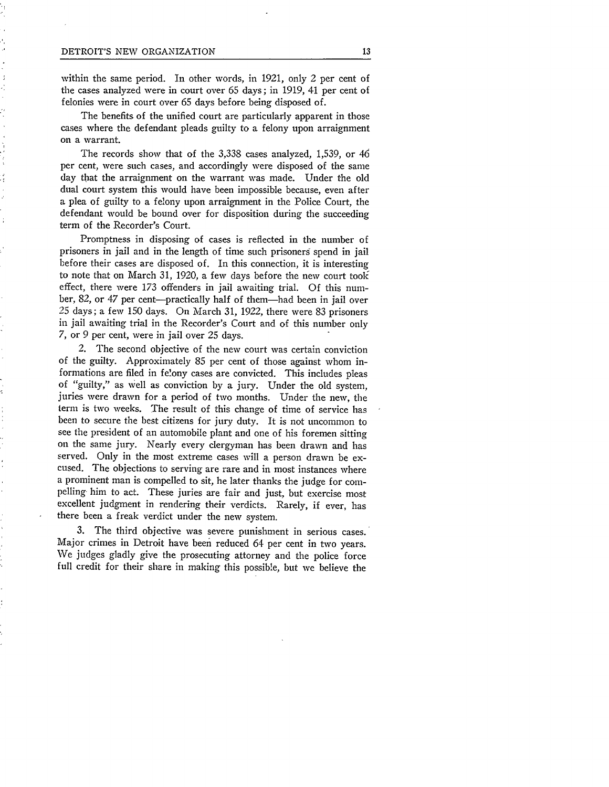$\frac{1}{2}$ 

within the same period. In other words, in 1921, only 2 per cent of the cases analyzed were in court over 65 days; in 1919, 41 per cent of felonies were in court over 65 days before being disposed of.

The benefits of the unified court are particularly apparent in those cases where the defendant pleads guilty to a felony upon arraignment on a warrant.

The records show that of the 3,338 cases analyzed, 1,539, or 46 per cent, were such cases, and accordingly were disposed of the same day that the arraignment on the warrant was made. Under the old dual court system this would have been impossible because, even after a plea of guilty to a felony upon arraignment in the Police Court, the defendant would be bound over for disposition during the succeeding term of the Recorder's Court.

Promptness in disposing of cases is reflected in the number of prisoners in jail and in the length of time such prisoners spend in jail before their cases are disposed of. In this connection, it is interesting to note that on March 31, 1920, a few days before the new court took effect, there were 173 offenders in jail awaiting trial. Of this number, 82, or 47 per cent-practically half of them-had been in jail over 25 days; a few 150 days. On March 31, 1922, there were 83 prisoners in jail awaiting trial in the Recorder's Court and of this number only 7, or 9 per cent, were in jail over 25 days.

2. The second objective of the new court was certain conviction of the guilty. Approximately 85 per cent of those against whom informations are filed in fe'ony cases are convicted. This includes pleas of "guilty," as well as conviction by a jury. Under the old system, juries were drawn for a period of two months. Under the new, the term is two weeks. The result of this change of time of service has been to secure the best citizens for jury duty. It is not uncommon to see the president of an automobile plant and one of his foremen sitting on the same jury. Nearly every clergyman has been drawn and has served. Only in the most extreme cases will a person drawn be excused. The objections to serving are rare and in most instances where a prominent man is compelled to sit, he later thanks the judge for compelling him to act. These juries are fair and just, but exercise most excellent judgment in rendering their verdicts. Rarely, if ever, has there been a freak verdict under the new system.

3. The third objective was severe punishment in serious cases. Major crimes in Detroit have been reduced 64 per cent in two years. We judges gladly give the prosecuting attorney and the police force full credit for their share in making this possible, but we believe the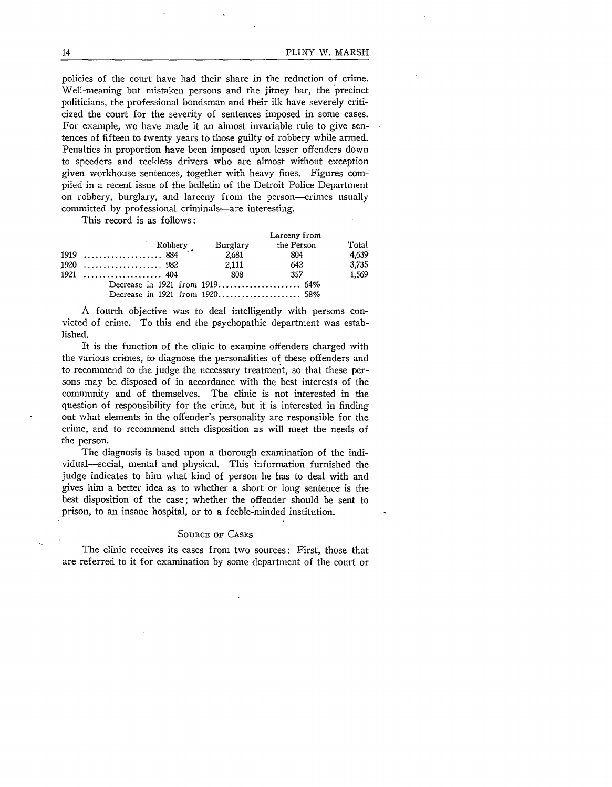policies of the court have had their share in the reduction of crime. Well-meaning but mistaken persons and the jitney bar, the precinct politicians, the professional bondsman and their ilk have severely criticized the court for the severity of sentences imposed in some cases. For example, we have made it an almost invariable rule to give sentences of fifteen to twenty years to those guilty of robbery while armed. Penalties in proportion have been imposed upon lesser offenders down to speeders and reckless drivers who are almost without exception given workhouse sentences, together with heavy fines. Figures compiled in a recent issue of the bulletin of the Detroit Police Department on robbery, burglary, and larceny from the person-crimes usually committed by professional criminals-are interesting.

This record is as follows:

|           | Larceny from |            |       |
|-----------|--------------|------------|-------|
| Robbery   | Burglary     | the Person | Total |
|           | 2,681        | 804        | 4.639 |
| 1920  982 | 2.111        | 642        | 3.735 |
| 1921  404 | 808          | 357        | 1.569 |
|           |              |            |       |
|           |              |            |       |

**A** fourth objective was to deal intelligently with persons convicted of crime. To this end the psychopathic department was established.

It is the function of the clinic to examine offenders charged with the various crimes, to diagnose the personalities of these offenders and to recommend to the judge the necessary treatment, so that these persons may be disposed of in accordance with the best interests of the community and of themselves. The clinic is not interested in the question of responsibility for the crime, but it is interested in finding out what elements in the offender's personality are responsible for the crime, and to recommend such disposition as will meet the needs of the person.

The diagnosis is based upon a thorough examination of the individual-social, mental and physical. This information furnished the judge indicates to him what kind of person he has to deal with and gives him a better idea as to whether a short or long sentence is the best disposition of the case; whether the offender should be sent to prison, to an insane hospital, or to a feeble-minded institution.

#### SOURCE OF CASES

The clinic receives its cases from two sources: First, those that are referred to it for examination by some department of the court or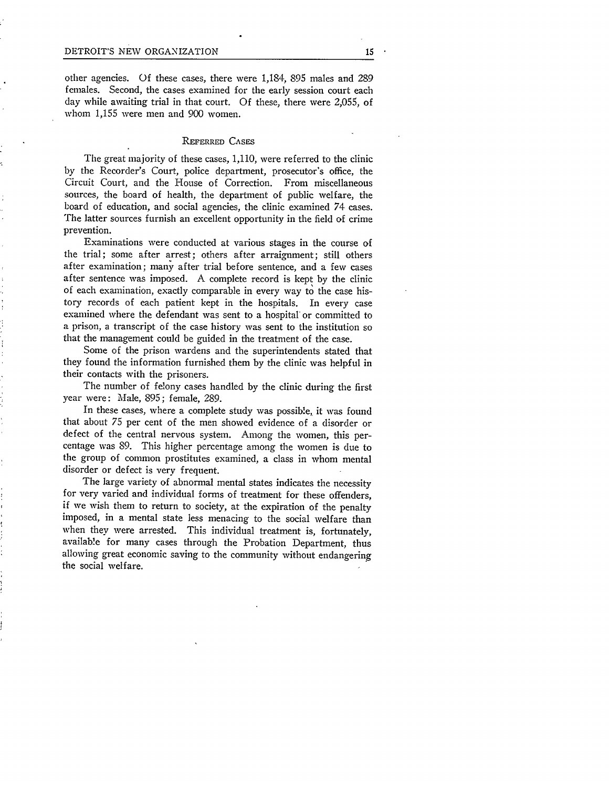other agencies. Of these cases, there were 1,184, 895 males and 289 females. Second, the cases examined for the early session court each day while awaiting trial in that court. Of these, there were 2,055, of whom 1,155 were men and 900 women.

#### REFERRED CASES

The great majority of these cases, 1,110, were referred to the clinic by the Recorder's Court, police department, prosecutor's office, the Circuit Court, and the House of Correction. From miscellaneous sources, the board of health, the department of public welfare, the board of education, and social agencies, the clinic examined 74 cases. The latter sources furnish an excellent opportunity in the field of crime prevention.

Examinations were conducted at various stages in the course of the trial; some after arrest; others after arraignment; still others after examination; many after trial before sentence, and a few cases after sentence was imposed. A complete record is kept by the clinic of each examnination, exactly comparable in every way to the case history records of each patient kept in the hospitals. In every case examined where the defendant was sent to a hospital' or committed to a prison, a transcript of the case history was sent to the institution so that the management could be guided in the treatment of the case.

Some of the prison wardens and the superintendents stated that they found the information furnished them by the clinic was helpful in their contacts with the prisoners.

The number of felony cases handled by the clinic during the first year were: Male, 895; female, 289.

In these cases, where a complete study was possible, it was found that about 75 per cent of the men showed evidence of a disorder or defect of the central nervous system. Among the women, this percentage was 89. This higher percentage among the women is due to the group of common prostitutes examined, a class in whom mental disorder or defect is very frequent.

The large variety of abnormal mental states indicates the necessity for very varied and individual forms of treatment for these offenders, if we wish them to return to society, at the expiration of the penalty imposed, in a mental state less menacing to the social welfare than when they were arrested. This individual treatment is, fortunately, available for many cases through the Probation Department, thus allowing great economic saving to the community without endangering the social welfare.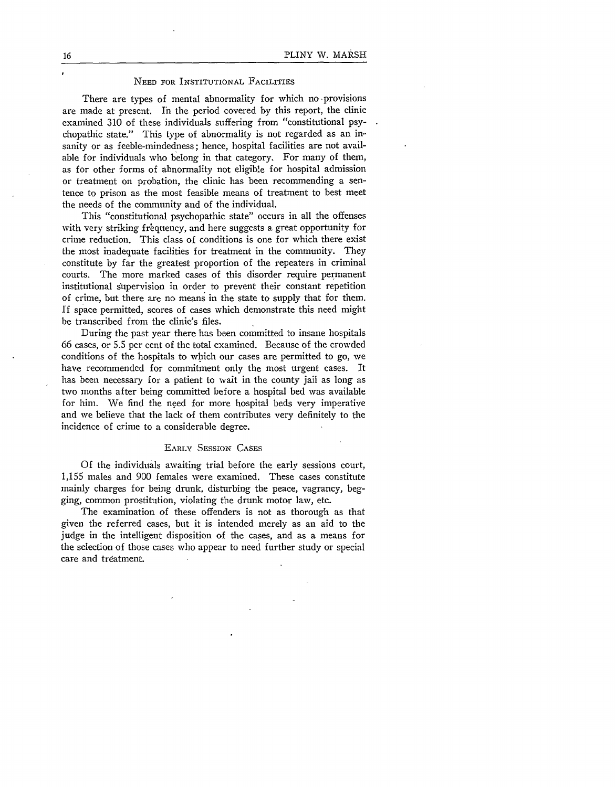#### NEED FOR INSTITUTIONAL FACILITIES

There are types of mental abnormality for which no-provisions are made at present. In the period covered by this report, the clinic examined 310 of these individuals suffering from "constitutional psychopathic state." This type of abnormality is not regarded as an insanity or as feeble-mindedness; hence, hospital facilities are not available for individuals who belong in that category. For many of them, as for other forms of abnormality not eligible for hospital admission or treatment on probation, the clinic has been recommending a sentence to prison as the most feasible means of treatment to best meet the needs of the community and of the individual.

This "constitutional psychopathic state" occurs in all the offenses with very striking frequency, and here suggests a great opportunity for crime reduction. This class of conditions is one for which there exist the most inadequate facilities for treatment in the community. They constitute by far the greatest proportion of the repeaters in criminal courts. The more marked cases of this disorder require permanent institutional supervision in order to prevent their constant repetition of crime, but there are no means in the state to supply that for them. If space permitted, scores of cases which demonstrate this need might be transcribed from the clinic's files.

During the past year there has been committed to insane hospitals 66 cases, or 5.5 per cent of the total examined. Because of the crowded conditions of the hospitals to which our cases are permitted to *go,* we have recommended for commitment only the most urgent cases. It has been necessary for a patient to wait in the county jail as long as two months after being committed before a hospital bed was available for him. We find the need for more hospital beds very imperative and we believe that the lack of them contributes very definitely to the incidence of crime to a considerable degree.

#### EARLY SESSION CASES

Of the individuals awaiting trial before the early sessions court, 1,155 males and 900 females were examined. These cases constitute mainly charges for being drunk, disturbing the peace, vagrancy, begging, common prostitution, violating the drunk motor law, etc.

The examination of these offenders is not as thorough as that given the referred cases, but it is intended merely as an aid to the judge in the intelligent disposition of the cases, and as a means for the selection of those cases who appear to need further study or special care and treatment.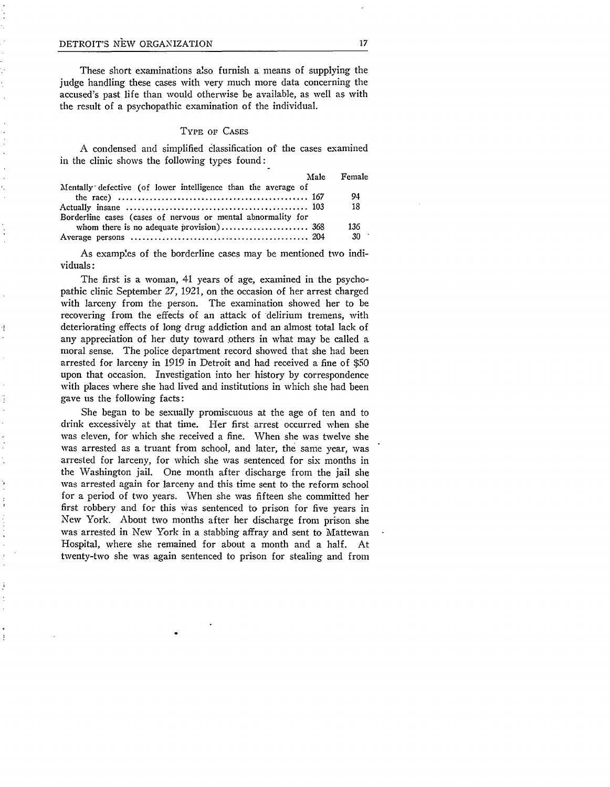Ą

These short examinations also furnish a means of supplying the judge handling these cases with very much more data concerning the accused's past life than would otherwise be available, as well as with the result of a psychopathic examination of the individual.

#### TYPE OF CASES

A condensed and simplified classification of the cases examined in the clinic shows the following types found:

| Male                                                          | <b>Female</b>   |
|---------------------------------------------------------------|-----------------|
| Mentally defective (of lower intelligence than the average of |                 |
|                                                               | 94              |
|                                                               | 18              |
| Borderline cases (cases of nervous or mental abnormality for  |                 |
|                                                               | 136             |
|                                                               | 30 <sup>2</sup> |

As examp'es of the borderline cases may be mentioned two individuals:

The first is a woman, 41 years of age, examined in the psychopathic clinic September 27, 1921, on the occasion of her arrest charged with larceny from the person. The examination showed her to be recovering from the effecis of an attack of delirium tremens, with deteriorating effects of long drug addiction and an almost total lack of any appreciation of her duty toward others in what may be called a moral sense. The police department record showed that she had been arrested for larceny in 1919 in Detroit and had received a fine of **\$50** upon that occasion. Investigation into her history by correspondence with places where she had lived and institutions in which she had been gave us the following facts:

She began to be sexually promiscuous at the age of ten and to drink excessively at that time. Her first arrest occurred when she was eleven, for which she received a fine. When she was twelve she was arrested as a truant from school, and later, the same year, was arrested for larceny, for which she was sentenced for six months in the Washington jail. One month after discharge from the jail she was arrested again for larceny and this time sent to the reform school for a period of two years. When she was fifteen she committed her first robbery and for this was sentenced to prison for five years in New York. About two months after her discharge from prison she was arrested in New York in a stabbing affray and sent to Mattewan Hospital, where she remained for about a month and a half. At twenty-two she was again sentenced to prison for stealing and from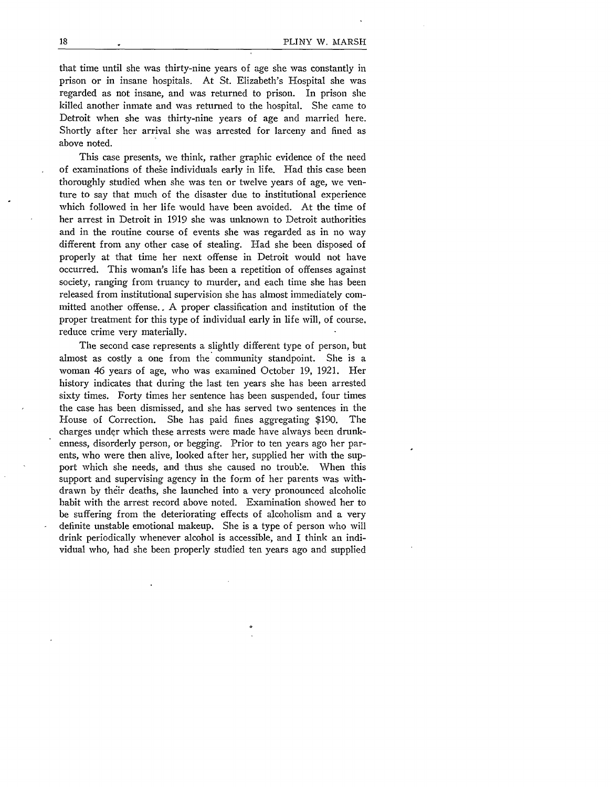that time until she was thirty-nine years of age she was constantly in prison or in insane hospitals. At St. Elizabeth's Hospital she was regarded as not insane, and was returned to prison. In prison she killed another innmate and was returned to the hospital. She came to Detroit when she was thirty-nine years of age and married here. Shortly after her arrival she was arrested for larceny and fined as above noted.

This case presents, we think, rather graphic evidence of the need of examinations of these individuals early in life. Had this case been thoroughly studied when she was ten or twelve years of age, we venture to say that much of the disaster due to institutional experience which followed in her life would have been avoided. At the time of her arrest in Detroit in 1919 she was unknown to Detroit authorities and in the routine course of events she was regarded as in no way different from any other case of stealing. Had she been disposed of properly at that time her next offense in Detroit would not have occurred. This woman's life has been a repetition of offenses against society, ranging from truancy to murder, and each time she has been released from institutional supervision she has almost immediately committed another offense. **.** A proper classification and institution of the proper treatment for this type of individual early in life will, of course, reduce crime very materially.

The second case represents a slightly different type of person, but almost as costly a one from the community standpoint. She is a woman 46 years of age, who was examined October 19, 1921. Her history indicates that during the last ten years she has been arrested sixty times. Forty times her sentence has been suspended, four times the case has been dismissed, and she has served two sentences in the House of Correction. She has paid fines aggregating \$190. The charges under which these arrests were made have always been drunkenness, disorderly person, or begging. Prior to ten years ago her parents, who were then alive, looked after her, supplied her with the support which she needs, and thus she caused no troub'e. When this support and supervising agency in the form of her parents was withdrawn by their deaths, she launched into a very pronounced alcoholic habit with the arrest record above noted. Examination showed her to be suffering from the deteriorating effects of alcoholism and a very definite unstable emotional makeup. She is a type of person who will drink periodically whenever alcohol is accessible, and I think an individual who, had she been properly studied ten years ago and supplied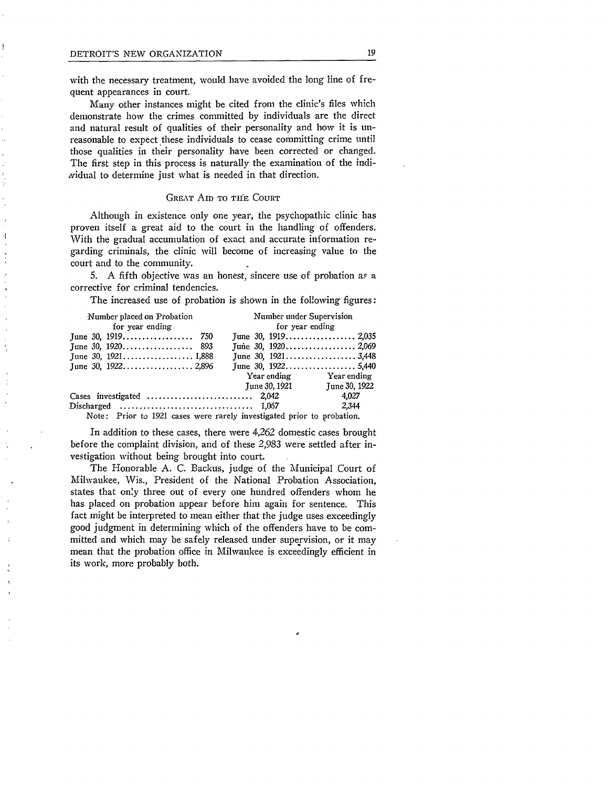$\frac{4}{1}$  $\frac{1}{4}$ 

 $\frac{1}{2}$ 

with the necessary treatment, would have avoided the long line of frequent appearances in court.

Many other instances might be cited from the clinic's files which demonstrate how the crimes committed by individuals are the direct and natural result of qualities of their personality and how it is unreasonable to expect these individuals to cease committing crime until those qualities in their personality have been corrected or changed. The first step in this process is naturally the examination of the indiwidual to determine just what is needed in that direction.

### GREAT **AID** TO THE **COURT**

Although in existence only one year, the psychopathic clinic has proven itself a great aid to the court in the handling of offenders. With the gradual accumulation of exact and accurate information regarding criminals, the clinic will become of increasing value to the court and to the community.

5. A fifth objective was an honest, sincere use of probation as a corrective for criminal tendencies.

The increased use of probation is shown in the following figures;

| Number placed on Probation                                             | Number under Supervision |               |  |  |
|------------------------------------------------------------------------|--------------------------|---------------|--|--|
| for year ending                                                        | for year ending          |               |  |  |
|                                                                        |                          |               |  |  |
|                                                                        |                          |               |  |  |
|                                                                        |                          |               |  |  |
|                                                                        |                          |               |  |  |
|                                                                        | Year ending Year ending  |               |  |  |
|                                                                        | June 30, 1921            | Tune 30, 1922 |  |  |
|                                                                        |                          | 4.027         |  |  |
|                                                                        |                          | 2,344         |  |  |
| Note: Prior to 1921 cases were rarely investigated prior to probation. |                          |               |  |  |

In addition to these cases, there were 4,262 domestic cases brought before the complaint division, and of these 2,983 were settled after investigation without being brought into court.

The Honorable A. C. Backus, judge of the Municipal Court of Milwaukee, Wis., President of the National Probation Association, states that only three out of every one hundred offenders whom he has placed on probation appear before him again for sentence. This fact might be interpreted to mean either that the judge uses exceedingly good judgment in determining which of the offenders have to be committed and which may be safely released under supervision, or it may mean that the probation office in Milwaukee is exceedingly efficient in its work, more probably both.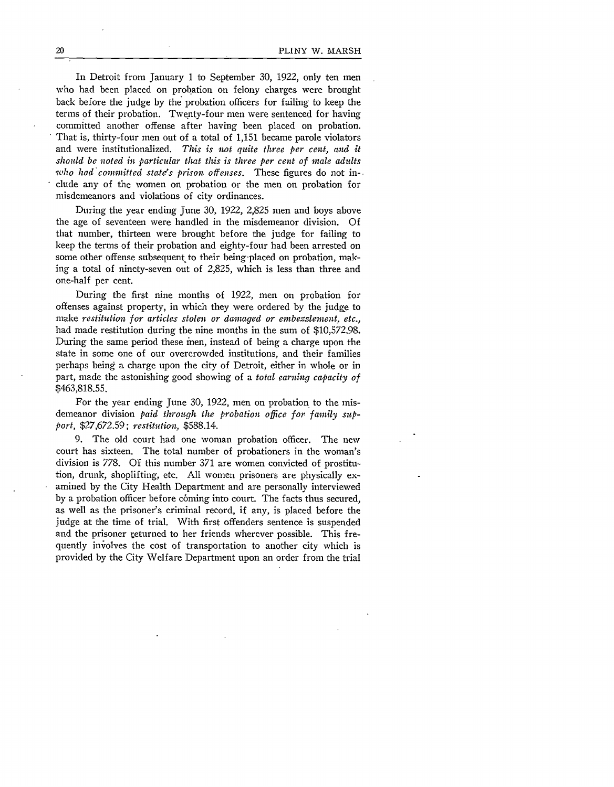In Detroit from January 1 to September 30, 1922, only ten men who had been placed on probation on felony charges were brought back before the judge by the probation officers for failing to keep the terms of their probation. Twenty-four men were sentenced for having committed another offense after having been placed on probation. That is, thirty-four men out of a total of 1,151 became parole violators and were institutionalized. *This is not quite three per cent, and it should be noted in particular that this is three per cent of male adults who had committed state's prison* offenses. These figures do not in-. clude any of the women on probation or the men on probation for misdemeanors and violations of city ordinances.

During the year ending June 30, 1922, 2,825 men and boys above the age of seventeen were handled in the misdemeanor division. Of that number, thirteen were brought before the judge for failing to keep the terms of their probation and eighty-four had been arrested on some other offense subsequent to their being-placed on probation, making a total of ninety-seven out of 2,825, which is less than three and one-half per cent.

During the first nine months of 1922, men on probation for offenses against property, in which they were ordered by the judge to make *restitution for articles stolen or damaged or embezzlement, etc.*, had made restitution during the nine months in the sum of \$10,572.98. During the same period these inen, instead of being a charge upon the state in some one of our overcrowded institutions, and their families perhaps being a charge upon the city of Detroit, either in whole or in part, made the astonishing good showing of a *total earning capacity of* \$463,818.55.

For the year ending June 30, 1922, men on probation to the misdemeanor division *paid through the probation office for family support,* \$27,672.59; *restitution,* \$588.14.

9. The old court had one woman probation officer. The new court has sixteen. The total number of probationers in the woman's division is 778. Of this number 371 are women convicted of prostitution, drunk, shoplifting, etc. All women prisoners are physically examined by the City Health Department and are personally interviewed by a probation officer before coming into court. The facts thus secured, as well as the prisoner's criminal record, if any, is placed before the judge at the time of trial. With first offenders sentence is suspended and the prisoner returned to her friends wherever possible. This frequently involves the cost of transportation to another city which is provided by the City Welfare Department upon an order from the trial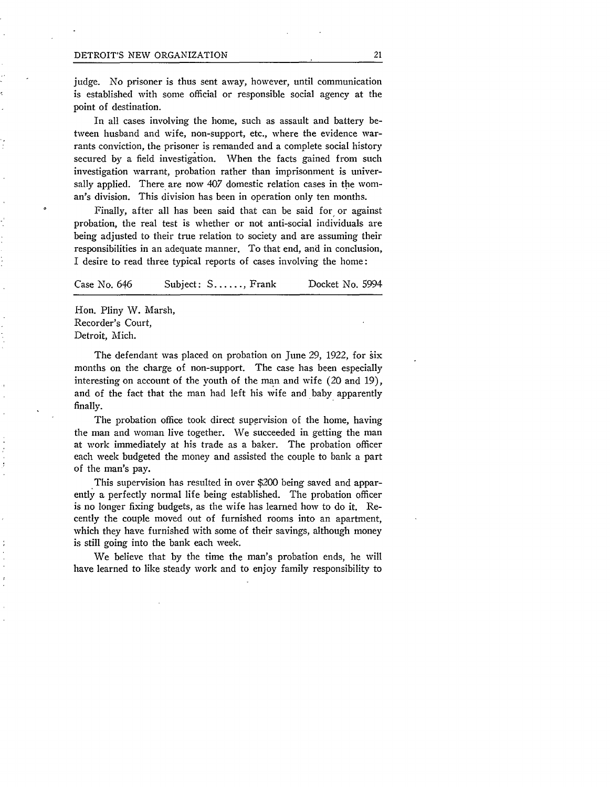judge. No prisoner is thus sent away, however, until communication is established with some official or responsible social agency at the point of destination.

In all cases involving the home, such as assault and battery between husband and wife, non-support, etc., where the evidence warrants conviction, the prisoner is remanded and a complete social history secured by a field investigation. When the facts gained from such investigation warrant, probation rather than imprisonment is universally applied. There are now 407 domestic relation cases in the woman's division. This division has been in operation only ten months.

Finally, after all has been said that can be said for or against probation, the real test is whether or not anti-social individuals are being adjusted to their true relation to society and are assuming their responsibilities in an adequate manner. To that end, and in conclusion, I desire to read three typical reports of cases involving the home:

Case No. 646 Subject: S......, Frank Docket No. 5994

Hon. Pliny W. Marsh, Recorder's Court, Detroit, Mich.

The defendant was placed on probation on June 29, 1922, for six months on the charge of non-support. The case has been especially interesting on account of the youth of the man and wife (20 and 19), and of the fact that the man had left his wife and baby apparently finally.

The probation office took direct supervision of the home, having the man and woman live together. We succeeded in getting the man at work immediately at his trade as a baker. The probation officer each week budgeted the money and assisted the couple to bank a part of the man's pay.

This supervision has resulted in over \$200 being saved and apparently a perfectly normal life being established. The probation officer is no longer fixing budgets, as the wife has learned how to do it. Recently the couple moved out of furnished rooms into an apartment, which they have furnished with some of their savings, although money is still going into the bank each week.

We believe that by the time the man's probation ends, he will have learned to like steady work and to enjoy family responsibility to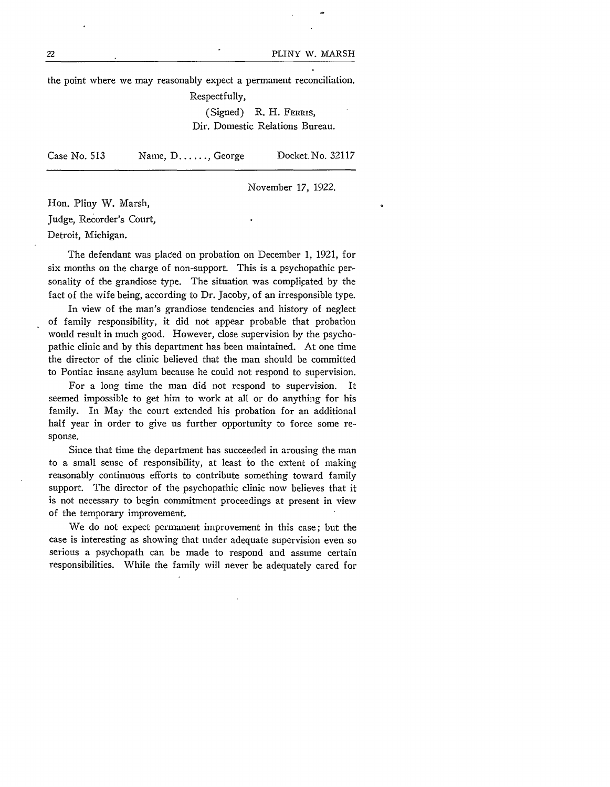the point where we may reasonably expect a permanent reconciliation.

Respectfully,

(Signed) R. H. FERRIS, Dir. Domestic Relations Bureau.

Case No. 513 Mame, D....., George Docket. No. 32117

November 17, 1922.

Hon. Pliny W. Marsh, Judge, Recorder's Court, Detroit, Michigan.

The defendant was placed on probation on December 1, 1921, for six months on the charge of non-support. This is a psychopathic personality of the grandiose type. The situation was complicated by the fact of the wife being, according to Dr. Jacoby, of an irresponsible type.

In view of the man's grandiose tendencies and history of neglect of family responsibility, it did not appear probable that probation would result in much good. However, close supervision by the psychopathic clinic and by this department has been maintained. At one time the director of the clinic believed that the man should be committed to Pontiac insane asylum because he could not respond to supervision.

For a long time the man did not respond to supervision. It seemed impossible to get him to work at all or do anything for his family. In May the court extended his probation for an additional half year in order to give us further opportunity to force some response.

Since that time the department has succeeded in arousing the man to a small sense of responsibility, at least to the extent of making reasonably continuous efforts to contribute something toward family support. The director of the psychopathic clinic now believes that it is not necessary to begin commitment proceedings at present in view of the temporary improvement.

We do not expect permanent improvement in this case; but the case is interesting as showing that under adequate supervision even so serious a psychopath can be made to respond and assume certain responsibilities. While the family will never be adequately cared for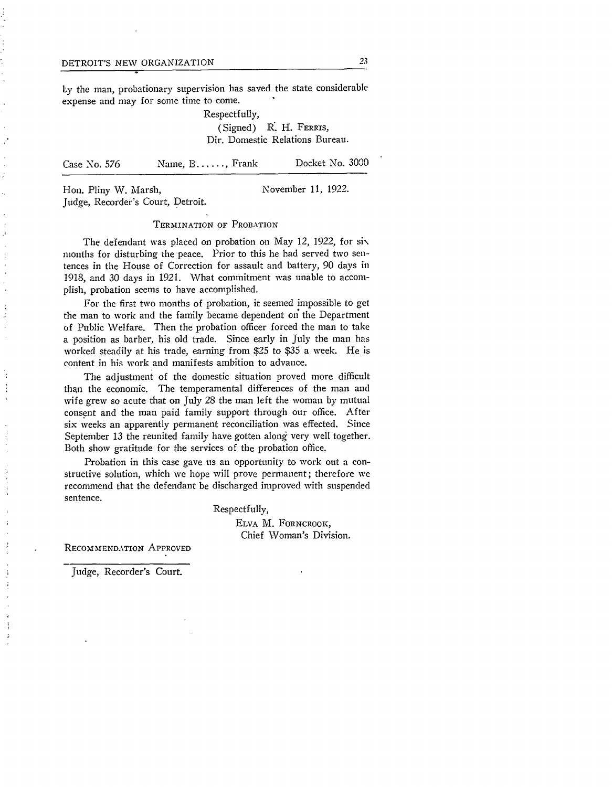## DETROIT'S NEW ORGANIZATION 23

Ly the man, probationary supervision has saved the state considerable expense and may for some time to come.

Respectfully,

 $(Signed)$  R. H. FERRIS, Dir. Domestic Relations Bureau.

Case No. 576 Name, B **...... ,** Frank Docket No. **30'00**

Hon. Pliny W. Marsh, November 11, 1922. Judge, Recorder's Court, Detroit.

 $\overline{\phantom{a}}$ 

 $\overline{\phantom{a}}$ 

 $\ddot{\cdot}$ 

# TERMINATION OF PROBATION

The defendant was placed on probation on May 12, 1922, for six months for disturbing the peace. Prior to this he had served two sentences in the House of Correction for assault and battery, 90 days in 1918, and 30 days in 1921. What commitment was unable to accomplish, probation seems to have accomplished.

For the first two months of probation, it seemed impossible to get the man to work and the family became dependent on the Department of Public Welfare. Then the probation officer forced the man to take a position as barber, his old trade. Since early in July the man has worked steadily at his trade, earning from \$25 to \$35 a week. He is content in his work and manifests ambition to advance.

The adjustment of the domestic situation proved more difficult than the economic. The temperamental differences of the man and wife grew so acute that on July 28 the man left the woman by mutual consent and the man paid family support through our office. After six weeks an apparently permanent reconciliation was effected. Since September 13 the reunited family have gotten along very well together. Both show gratitude for the services of the probation office.

Probation in this case gave us an opportunity to work out a constructive solution, which we hope will prove permanent; therefore we recommend that the defendant be discharged improved with suspended sentence.

Respectfully,

ELVA M. FORNCROOK, Chief Woman's Division.

RECOMMENDATION **APPROVED** 

Judge, Recorder's Court.